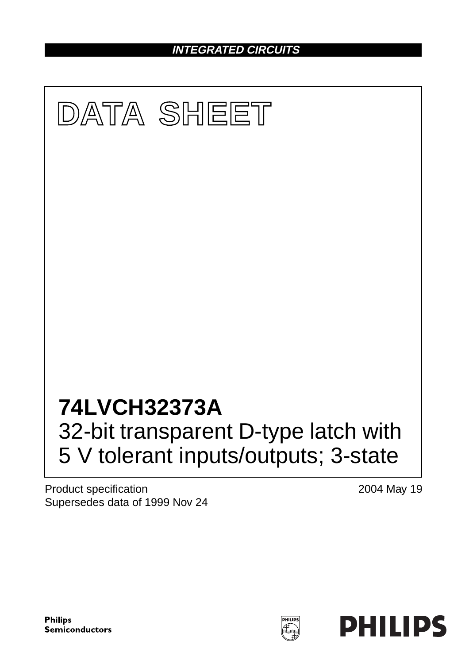**INTEGRATED CIRCUITS**



Product specification Supersedes data of 1999 Nov 24 2004 May 19

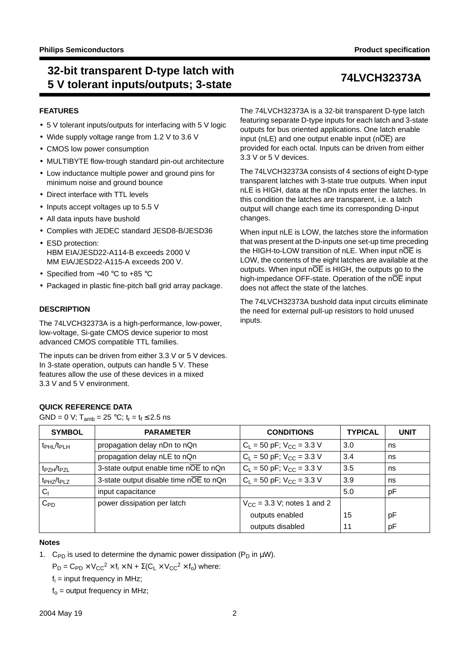## **32-bit transparent D-type latch with 5 V tolerant inputs/outputs; 3-state 74LVCH32373A**

### **FEATURES**

- 5 V tolerant inputs/outputs for interfacing with 5 V logic
- Wide supply voltage range from 1.2 V to 3.6 V
- CMOS low power consumption
- MULTIBYTE flow-trough standard pin-out architecture
- Low inductance multiple power and ground pins for minimum noise and ground bounce
- Direct interface with TTL levels
- Inputs accept voltages up to 5.5 V
- All data inputs have bushold
- Complies with JEDEC standard JESD8-B/JESD36
- ESD protection: HBM EIA/JESD22-A114-B exceeds 2000 V MM EIA/JESD22-A115-A exceeds 200 V.
- Specified from −40 °C to +85 °C

**QUICK REFERENCE DATA**

GND = 0 V;  $T_{amb}$  = 25 °C;  $t_r = t_f \le 2.5$  ns

• Packaged in plastic fine-pitch ball grid array package.

### **DESCRIPTION**

The 74LVCH32373A is a high-performance, low-power, low-voltage, Si-gate CMOS device superior to most advanced CMOS compatible TTL families.

The inputs can be driven from either 3.3 V or 5 V devices. In 3-state operation, outputs can handle 5 V. These features allow the use of these devices in a mixed 3.3 V and 5 V environment.

The 74LVCH32373A is a 32-bit transparent D-type latch featuring separate D-type inputs for each latch and 3-state outputs for bus oriented applications. One latch enable input (nLE) and one output enable input (n $\overline{OE}$ ) are provided for each octal. Inputs can be driven from either 3.3 V or 5 V devices.

The 74LVCH32373A consists of 4 sections of eight D-type transparent latches with 3-state true outputs. When input nLE is HIGH, data at the nDn inputs enter the latches. In this condition the latches are transparent, i.e. a latch output will change each time its corresponding D-input changes.

When input nLE is LOW, the latches store the information that was present at the D-inputs one set-up time preceding the HIGH-to-LOW transition of nLE. When input  $n\overline{OE}$  is LOW, the contents of the eight latches are available at the outputs. When input  $n\overline{OE}$  is HIGH, the outputs go to the high-impedance OFF-state. Operation of the nOE input does not affect the state of the latches.

The 74LVCH32373A bushold data input circuits eliminate the need for external pull-up resistors to hold unused inputs.

## SYMBOL **PARAMETER CONDITIONS** TYPICAL UNIT  $t_{\text{PH}}/t_{\text{PH}}$  propagation delay nDn to nQn  $|C_1 = 50 \text{ pF}$ ;  $V_{\text{CC}} = 3.3 \text{ V}$   $|3.0 \text{ ns}$ propagation delay nLE to nQn  $C_L = 50 \text{ pF}; V_{\text{CC}} = 3.3 \text{ V}$  3.4 ns  $t_{PZH}/t_{PZL}$  3-state output enable time nOE to nQn  $|C_L = 50 \text{ pF}$ ;  $V_{CC} = 3.3 \text{ V}$   $|3.5|$  ns  $t_{PHZ}/t_{PLZ}$  3-state output disable time nOE to nQn  $\begin{array}{|l|l|} C_L = 50 \text{ pF}; V_{CC} = 3.3 \text{ V} & 3.9 \end{array}$  ns  $C_1$  input capacitance  $\vert$  5.0 pF  $C_{\text{PD}}$  power dissipation per latch  $V_{\text{CC}} = 3.3$  V; notes [1](#page-1-0) and [2](#page-2-0) outputs enabled 15 pF outputs disabled 11 pF

### **Notes**

<span id="page-1-0"></span>1. C<sub>PD</sub> is used to determine the dynamic power dissipation ( $P_D$  in  $\mu W$ ).

 $P_D = C_{PD} \times V_{CC}^2 \times f_i \times N + \Sigma (C_L \times V_{CC}^2 \times f_0)$  where:

 $f_i$  = input frequency in MHz;

 $f<sub>o</sub>$  = output frequency in MHz;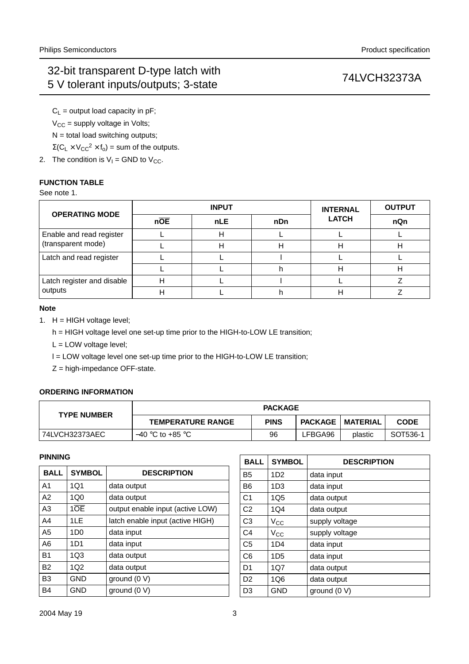$C_L$  = output load capacity in pF;  $V_{CC}$  = supply voltage in Volts;  $N =$  total load switching outputs;

 $\Sigma(C_L \times V_{CC}^2 \times f_0)$  = sum of the outputs.

<span id="page-2-0"></span>2. The condition is  $V_1$  = GND to  $V_{CC}$ .

## **FUNCTION TABLE**

See note [1.](#page-2-1)

| <b>OPERATING MODE</b>                 |                  | <b>INPUT</b> | <b>INTERNAL</b> | <b>OUTPUT</b> |     |
|---------------------------------------|------------------|--------------|-----------------|---------------|-----|
|                                       | $n\overline{OE}$ | <b>nLE</b>   | nDn             | <b>LATCH</b>  | nQn |
| Enable and read register              |                  | н            |                 |               |     |
| (transparent mode)                    |                  | н            | н               | н             |     |
| Latch and read register               |                  |              |                 |               |     |
|                                       |                  |              |                 | Н             |     |
| Latch register and disable<br>outputs |                  |              |                 |               |     |
|                                       |                  |              |                 |               |     |

### **Note**

- <span id="page-2-1"></span>1. H = HIGH voltage level;
	- h = HIGH voltage level one set-up time prior to the HIGH-to-LOW LE transition;
	- L = LOW voltage level;
	- l = LOW voltage level one set-up time prior to the HIGH-to-LOW LE transition;
	- Z = high-impedance OFF-state.

## **ORDERING INFORMATION**

| <b>TYPE NUMBER</b> | <b>PACKAGE</b>           |             |         |                           |             |  |  |
|--------------------|--------------------------|-------------|---------|---------------------------|-------------|--|--|
|                    | <b>TEMPERATURE RANGE</b> | <b>PINS</b> |         | <b>PACKAGE   MATERIAL</b> | <b>CODE</b> |  |  |
| 74LVCH32373AEC     | $-40$ °C to +85 °C       | 96          | LFBGA96 | plastic                   | SOT536-1    |  |  |

### **PINNING**

| <b>BALL</b>    | <b>SYMBOL</b>   | <b>DESCRIPTION</b>               |
|----------------|-----------------|----------------------------------|
| A <sub>1</sub> | 1Q1             | data output                      |
| A2             | 1Q0             | data output                      |
| A <sub>3</sub> | 10E             | output enable input (active LOW) |
| A <sub>4</sub> | 1LE             | latch enable input (active HIGH) |
| A <sub>5</sub> | 1D <sub>0</sub> | data input                       |
| A <sub>6</sub> | 1D1             | data input                       |
| <b>B1</b>      | 1Q <sub>3</sub> | data output                      |
| <b>B2</b>      | 1Q <sub>2</sub> | data output                      |
| B <sub>3</sub> | GND             | ground (0 V)                     |
| B4             | GND             | ground $(0 V)$                   |

| <b>BALL</b>    | <b>SYMBOL</b>   | <b>DESCRIPTION</b> |
|----------------|-----------------|--------------------|
| <b>B5</b>      | 1D2             | data input         |
| B <sub>6</sub> | 1D3             | data input         |
| C <sub>1</sub> | 1Q <sub>5</sub> | data output        |
| C <sub>2</sub> | 1Q4             | data output        |
| C3             | $V_{\rm CC}$    | supply voltage     |
| C4             | $V_{\rm CC}$    | supply voltage     |
| C <sub>5</sub> | 1D4             | data input         |
| C <sub>6</sub> | 1D5             | data input         |
| D <sub>1</sub> | 1Q7             | data output        |
| D <sub>2</sub> | 1Q6             | data output        |
| D <sub>3</sub> | GND             | ground (0 V)       |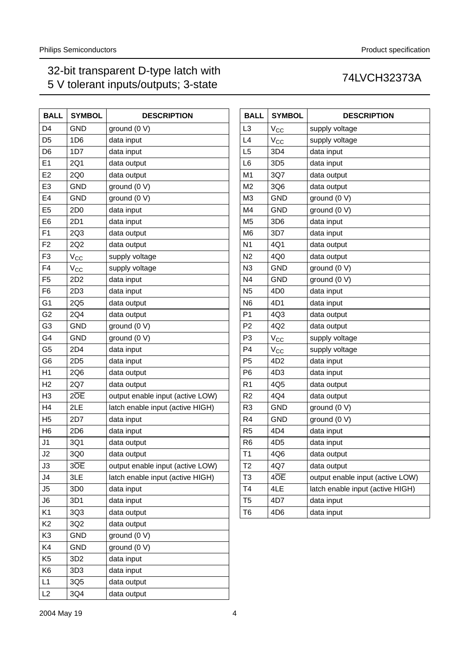| <b>BALL</b>    | <b>SYMBOL</b>    | <b>DESCRIPTION</b>               |
|----------------|------------------|----------------------------------|
| D <sub>4</sub> | <b>GND</b>       | ground (0 V)                     |
| D <sub>5</sub> | 1D <sub>6</sub>  | data input                       |
| D <sub>6</sub> | 1D7              | data input                       |
| E1             | 2Q1              | data output                      |
| E2             | 2Q0              | data output                      |
| E <sub>3</sub> | <b>GND</b>       | ground (0 V)                     |
| E4             | <b>GND</b>       | ground (0 V)                     |
| E <sub>5</sub> | 2D <sub>0</sub>  | data input                       |
| E <sub>6</sub> | 2D1              | data input                       |
| F <sub>1</sub> | 2Q3              | data output                      |
| F <sub>2</sub> | 2Q2              | data output                      |
| F <sub>3</sub> | $V_{\rm CC}$     | supply voltage                   |
| F <sub>4</sub> | $V_{CC}$         | supply voltage                   |
| F <sub>5</sub> | 2D <sub>2</sub>  | data input                       |
| F <sub>6</sub> | 2D <sub>3</sub>  | data input                       |
| G <sub>1</sub> | 2Q5              | data output                      |
| G <sub>2</sub> | 2Q4              | data output                      |
| G <sub>3</sub> | <b>GND</b>       | ground (0 V)                     |
| G4             | <b>GND</b>       | ground (0 V)                     |
| G <sub>5</sub> | 2D4              | data input                       |
| G <sub>6</sub> | 2D <sub>5</sub>  | data input                       |
| H1             | 2Q6              | data output                      |
| H <sub>2</sub> | 2Q7              | data output                      |
| H <sub>3</sub> | $2\overline{OE}$ | output enable input (active LOW) |
| H <sub>4</sub> | 2LE              | latch enable input (active HIGH) |
| H <sub>5</sub> | 2D7              | data input                       |
| H <sub>6</sub> | 2D <sub>6</sub>  | data input                       |
| J1             | 3Q1              | data output                      |
| J2             | 3Q0              | data output                      |
| J3             | 3OE              | output enable input (active LOW) |
| J4             | 3LE              | latch enable input (active HIGH) |
| J5             | 3D <sub>0</sub>  | data input                       |
| J6             | 3D <sub>1</sub>  | data input                       |
| K <sub>1</sub> | 3Q3              | data output                      |
| K <sub>2</sub> | 3Q2              | data output                      |
| K3             | <b>GND</b>       | ground (0 V)                     |
| K4             | <b>GND</b>       | ground (0 V)                     |
| K <sub>5</sub> | 3D <sub>2</sub>  | data input                       |
| K <sub>6</sub> | 3D <sub>3</sub>  | data input                       |
| L1             | 3Q5              | data output                      |
| L2             | 3Q4              | data output                      |

| <b>BALL</b>    | <b>SYMBOL</b>    | <b>DESCRIPTION</b>               |
|----------------|------------------|----------------------------------|
| L <sub>3</sub> | $V_{\rm CC}$     | supply voltage                   |
| L4             | $V_{\rm CC}$     | supply voltage                   |
| L5             | 3D4              | data input                       |
| L <sub>6</sub> | 3D <sub>5</sub>  | data input                       |
| M <sub>1</sub> | 3Q7              | data output                      |
| M <sub>2</sub> | 3Q6              | data output                      |
| M <sub>3</sub> | <b>GND</b>       | ground (0 V)                     |
| M <sub>4</sub> | <b>GND</b>       | ground (0 V)                     |
| M <sub>5</sub> | 3D <sub>6</sub>  | data input                       |
| M <sub>6</sub> | 3D7              | data input                       |
| N <sub>1</sub> | 4Q1              | data output                      |
| N <sub>2</sub> | 4Q0              | data output                      |
| N <sub>3</sub> | GND              | ground (0 V)                     |
| N <sub>4</sub> | <b>GND</b>       | ground (0 V)                     |
| N <sub>5</sub> | 4D <sub>0</sub>  | data input                       |
| N <sub>6</sub> | 4D1              | data input                       |
| P1             | 4Q3              | data output                      |
| P <sub>2</sub> | 4Q2              | data output                      |
| P3             | $V_{\rm CC}$     | supply voltage                   |
| P4             | $V_{\rm CC}$     | supply voltage                   |
| P <sub>5</sub> | 4D <sub>2</sub>  | data input                       |
| P <sub>6</sub> | 4D <sub>3</sub>  | data input                       |
| R <sub>1</sub> | 4Q5              | data output                      |
| R <sub>2</sub> | 4Q4              | data output                      |
| R <sub>3</sub> | <b>GND</b>       | ground (0 V)                     |
| R <sub>4</sub> | <b>GND</b>       | ground (0 V)                     |
| R <sub>5</sub> | 4D4              | data input                       |
| R <sub>6</sub> | 4D <sub>5</sub>  | data input                       |
| T1             | 4Q6              | data output                      |
| T <sub>2</sub> | 4Q7              | data output                      |
| T3             | $4\overline{OE}$ | output enable input (active LOW) |
| T <sub>4</sub> | 4LE              | latch enable input (active HIGH) |
| T <sub>5</sub> | 4D7              | data input                       |
| T6             | 4D <sub>6</sub>  | data input                       |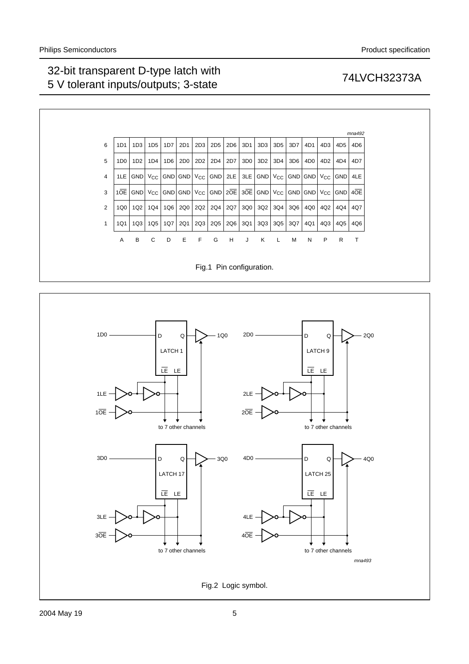

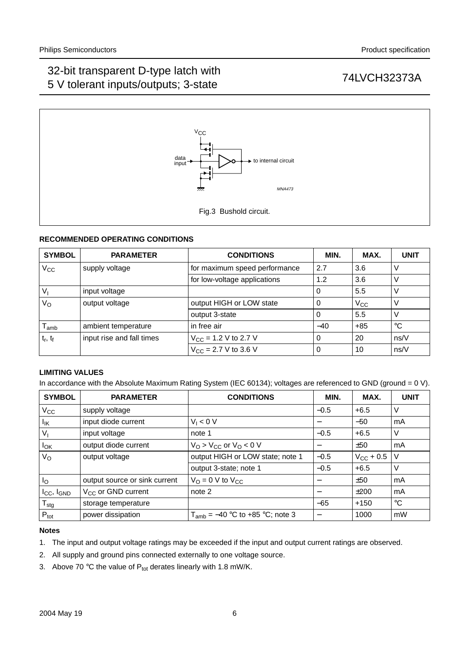

## **RECOMMENDED OPERATING CONDITIONS**

| <b>SYMBOL</b>               | <b>PARAMETER</b>          | <b>CONDITIONS</b>                        | MIN.  | MAX.     | <b>UNIT</b> |
|-----------------------------|---------------------------|------------------------------------------|-------|----------|-------------|
| $V_{CC}$                    | supply voltage            | for maximum speed performance            | 2.7   | 3.6      | V           |
|                             |                           | for low-voltage applications             | 1.2   | 3.6      | V           |
| $V_{I}$                     | input voltage             |                                          |       | 5.5      | V           |
| $V_{\rm O}$                 | output voltage            | output HIGH or LOW state                 |       | $V_{CC}$ | V           |
|                             |                           | output 3-state                           |       | 5.5      | V           |
| $\mathsf{T}_{\mathsf{amb}}$ | ambient temperature       | in free air                              | $-40$ | $+85$    | $^{\circ}C$ |
| $t_r$ , $t_f$               | input rise and fall times | $V_{\text{CC}}$ = 1.2 V to 2.7 V         |       | 20       | ns/V        |
|                             |                           | $V_{\text{CC}} = 2.7 \text{ V}$ to 3.6 V |       | 10       | ns/V        |

### **LIMITING VALUES**

In accordance with the Absolute Maximum Rating System (IEC 60134); voltages are referenced to GND (ground = 0 V).

| <b>SYMBOL</b>          | <b>PARAMETER</b>              | <b>CONDITIONS</b>                       | MIN.            | MAX.               | <b>UNIT</b> |
|------------------------|-------------------------------|-----------------------------------------|-----------------|--------------------|-------------|
| $V_{\rm CC}$           | supply voltage                |                                         | $-0.5$          | $+6.5$             | V           |
| Ιĸ                     | input diode current           | $V_1 < 0$ V                             |                 | $-50$              | mA          |
| $V_{1}$                | input voltage                 | note 1                                  | $-0.5$          | $+6.5$             | V           |
| <b>I</b> <sub>OK</sub> | output diode current          | $V_O > V_{CC}$ or $V_O < 0$ V           |                 | ±50                | mA          |
| $V_{\rm O}$            | output voltage                | output HIGH or LOW state; note 1        | $-0.5$          | $V_{\rm CC}$ + 0.5 | V           |
|                        |                               | output 3-state; note 1                  | $-0.5$          | $+6.5$             | V           |
| $I_{\rm O}$            | output source or sink current | $V_{\text{O}} = 0$ V to $V_{\text{CC}}$ |                 | ±50                | mA          |
| $I_{CC}$ , $I_{GND}$   | $V_{CC}$ or GND current       | note 2                                  | $\qquad \qquad$ | ±200               | mA          |
| $T_{\text{stg}}$       | storage temperature           |                                         | $-65$           | $+150$             | °C          |
| $P_{\text{tot}}$       | power dissipation             | $T_{amb}$ = -40 °C to +85 °C; note 3    |                 | 1000               | mW          |

### **Notes**

- <span id="page-5-0"></span>1. The input and output voltage ratings may be exceeded if the input and output current ratings are observed.
- <span id="page-5-1"></span>2. All supply and ground pins connected externally to one voltage source.
- <span id="page-5-2"></span>3. Above 70 °C the value of  $P_{tot}$  derates linearly with 1.8 mW/K.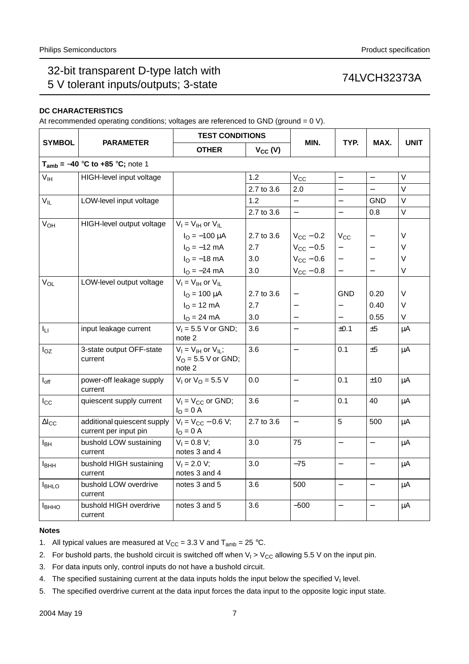## **DC CHARACTERISTICS**

At recommended operating conditions; voltages are referenced to GND (ground =  $0$  V).

|                         |                                                      | <b>TEST CONDITIONS</b>                                         |              |                          |                          |                          |             |
|-------------------------|------------------------------------------------------|----------------------------------------------------------------|--------------|--------------------------|--------------------------|--------------------------|-------------|
| <b>SYMBOL</b>           | <b>PARAMETER</b>                                     | <b>OTHER</b>                                                   | $V_{CC} (V)$ | MIN.                     | TYP.                     | MAX.                     | <b>UNIT</b> |
|                         | $T_{amb}$ = -40 °C to +85 °C; note 1                 |                                                                |              |                          |                          |                          |             |
| $V_{\text{IH}}$         | HIGH-level input voltage                             |                                                                | 1.2          | $\rm V_{CC}$             | $\overline{\phantom{0}}$ | $\overline{\phantom{0}}$ | V           |
|                         |                                                      |                                                                | 2.7 to 3.6   | 2.0                      | $\equiv$                 | $\equiv$                 | $\vee$      |
| $V_{IL}$                | LOW-level input voltage                              |                                                                | 1.2          |                          |                          | <b>GND</b>               | $\vee$      |
|                         |                                                      |                                                                | 2.7 to 3.6   | $\overline{\phantom{0}}$ | $\overline{\phantom{0}}$ | 0.8                      | $\vee$      |
| V <sub>OH</sub>         | HIGH-level output voltage                            | $V_I = V_{IH}$ or $V_{IL}$                                     |              |                          |                          |                          |             |
|                         |                                                      | $I_{\text{O}} = -100 \mu A$                                    | 2.7 to 3.6   | $V_{CC}$ – 0.2           | $V_{CC}$                 |                          | V           |
|                         |                                                      | $I_{\Omega} = -12$ mA                                          | 2.7          | $V_{CC}$ – 0.5           |                          |                          | V           |
|                         |                                                      | $I_{\Omega} = -18$ mA                                          | 3.0          | $V_{CC}$ – 0.6           | $\overline{\phantom{0}}$ |                          | $\vee$      |
|                         |                                                      | $I_{\rm O} = -24 \text{ mA}$                                   | 3.0          | $V_{CC}$ - 0.8           | $\overline{\phantom{0}}$ |                          | V           |
| $V_{OL}$                | LOW-level output voltage                             | $V_I = V_{IH}$ or $V_{IL}$                                     |              |                          |                          |                          |             |
|                         |                                                      | $I_{O} = 100 \mu A$                                            | 2.7 to 3.6   |                          | <b>GND</b>               | 0.20                     | $\vee$      |
|                         |                                                      | $I_{O} = 12 \text{ mA}$                                        | 2.7          |                          |                          | 0.40                     | V           |
|                         |                                                      | $I_{O} = 24 \text{ mA}$                                        | 3.0          | $\overline{a}$           |                          | 0.55                     | $\vee$      |
| Iц                      | input leakage current                                | $V_1 = 5.5$ V or GND;<br>note 2                                | 3.6          | $\equiv$                 | $\pm 0.1$                | $\pm 5$                  | $\mu$ A     |
| $I_{OZ}$                | 3-state output OFF-state<br>current                  | $V_1 = V_{1H}$ or $V_{1L}$ ;<br>$VO$ = 5.5 V or GND;<br>note 2 | 3.6          | $\overline{\phantom{0}}$ | 0.1                      | $\pm 5$                  | $\mu$ A     |
| $I_{off}$               | power-off leakage supply<br>current                  | $V_1$ or $V_0 = 5.5$ V                                         | 0.0          | $\overline{\phantom{0}}$ | 0.1                      | ±10                      | $\mu$ A     |
| $I_{\rm CC}$            | quiescent supply current                             | $V_1 = V_{CC}$ or GND;<br>$I_{O} = 0 A$                        | 3.6          | $\overline{\phantom{0}}$ | 0.1                      | 40                       | $\mu$ A     |
| $\Delta I_{CC}$         | additional quiescent supply<br>current per input pin | $V_1 = V_{CC} - 0.6 V;$<br>$IO = 0$ A                          | 2.7 to 3.6   |                          | 5                        | 500                      | $\mu$ A     |
| $I_{BH}$                | bushold LOW sustaining<br>current                    | $V_1 = 0.8 V;$<br>notes 3 and 4                                | 3.0          | 75                       | $\overline{\phantom{0}}$ |                          | $\mu$ A     |
| <b>I</b> <sub>BHH</sub> | bushold HIGH sustaining<br>current                   | $V_1 = 2.0 V;$<br>notes 3 and 4                                | 3.0          | $-75$                    |                          |                          | $\mu$ A     |
| <b>I</b> BHLO           | bushold LOW overdrive<br>current                     | notes 3 and 5                                                  | 3.6          | 500                      |                          |                          | $\mu$ A     |
| <b>I</b> BHHO           | bushold HIGH overdrive<br>current                    | notes 3 and 5                                                  | 3.6          | $-500$                   |                          |                          | $\mu$ A     |

### **Notes**

<span id="page-6-0"></span>1. All typical values are measured at  $V_{CC} = 3.3$  V and  $T_{amb} = 25$  °C.

<span id="page-6-1"></span>2. For bushold parts, the bushold circuit is switched off when  $V_1 > V_{CC}$  allowing 5.5 V on the input pin.

<span id="page-6-2"></span>3. For data inputs only, control inputs do not have a bushold circuit.

<span id="page-6-3"></span>4. The specified sustaining current at the data inputs holds the input below the specified  $V<sub>1</sub>$  level.

<span id="page-6-4"></span>5. The specified overdrive current at the data input forces the data input to the opposite logic input state.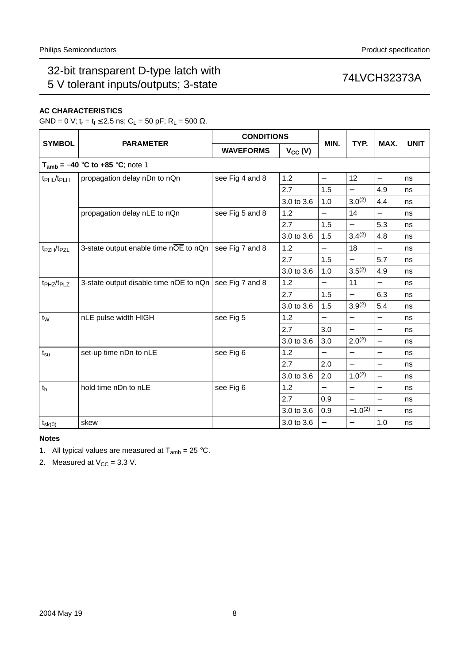## **AC CHARACTERISTICS**

GND = 0 V;  $t_r = t_f \le 2.5$  ns; C<sub>L</sub> = 50 pF; R<sub>L</sub> = 500 Ω.

|                                    |                                                                 | <b>CONDITIONS</b> |              |                          |                          |                          |             |
|------------------------------------|-----------------------------------------------------------------|-------------------|--------------|--------------------------|--------------------------|--------------------------|-------------|
| <b>SYMBOL</b>                      | <b>PARAMETER</b>                                                | <b>WAVEFORMS</b>  | $V_{CC} (V)$ | MIN.                     | TYP.                     | MAX.                     | <b>UNIT</b> |
|                                    | $T_{amb} = -40$ °C to +85 °C; note 1                            |                   |              |                          |                          |                          |             |
| t <sub>PHL</sub> /t <sub>PLH</sub> | propagation delay nDn to nQn                                    | see Fig 4 and 8   | 1.2          | $\overline{\phantom{0}}$ | 12                       | $\overline{\phantom{0}}$ | ns          |
|                                    |                                                                 |                   | 2.7          | 1.5                      | $\overline{\phantom{0}}$ | 4.9                      | ns          |
|                                    |                                                                 |                   | 3.0 to 3.6   | 1.0                      | $3.0^{(2)}$              | 4.4                      | ns          |
|                                    | propagation delay nLE to nQn                                    | see Fig 5 and 8   | 1.2          | $\overline{\phantom{0}}$ | 14                       |                          | ns          |
|                                    |                                                                 |                   | 2.7          | 1.5                      |                          | 5.3                      | ns          |
|                                    |                                                                 |                   | 3.0 to 3.6   | 1.5                      | 3.4(2)                   | 4.8                      | ns          |
| t <sub>PZH</sub> /t <sub>PZL</sub> | 3-state output enable time $n\overline{OE}$ to $n\overline{Qn}$ | see Fig 7 and 8   | 1.2          | $\overline{\phantom{0}}$ | 18                       | $\overline{\phantom{0}}$ | ns          |
|                                    |                                                                 |                   | 2.7          | 1.5                      | $\equiv$                 | 5.7                      | ns          |
|                                    |                                                                 |                   | 3.0 to 3.6   | 1.0                      | $3.5^{(2)}$              | 4.9                      | ns          |
| t <sub>PHZ</sub> /t <sub>PLZ</sub> | 3-state output disable time nOE to nQn                          | see Fig 7 and 8   | 1.2          | $\overline{\phantom{0}}$ | 11                       | $\overline{\phantom{0}}$ | ns          |
|                                    |                                                                 |                   | 2.7          | 1.5                      | $\overline{\phantom{0}}$ | 6.3                      | ns          |
|                                    |                                                                 |                   | 3.0 to 3.6   | 1.5                      | $3.9^{(2)}$              | 5.4                      | ns          |
| $t_{\rm W}$                        | nLE pulse width HIGH                                            | see Fig 5         | 1.2          | $\overline{\phantom{0}}$ | $\overline{\phantom{0}}$ | $\overline{\phantom{0}}$ | ns          |
|                                    |                                                                 |                   | 2.7          | 3.0                      | $\overline{\phantom{0}}$ | $\overline{\phantom{0}}$ | ns          |
|                                    |                                                                 |                   | 3.0 to 3.6   | 3.0                      | $2.0^{(2)}$              | $\overline{\phantom{0}}$ | ns          |
| $t_{\rm su}$                       | set-up time nDn to nLE                                          | see Fig 6         | 1.2          | $\equiv$                 |                          | $\overline{\phantom{0}}$ | ns          |
|                                    |                                                                 |                   | 2.7          | 2.0                      | $\overline{\phantom{0}}$ | $\overline{\phantom{0}}$ | ns          |
|                                    |                                                                 |                   | 3.0 to 3.6   | 2.0                      | $1.0^{(2)}$              | $\overline{\phantom{0}}$ | ns          |
| t <sub>h</sub>                     | hold time nDn to nLE                                            | see Fig 6         | 1.2          | $\equiv$                 | $\overline{\phantom{0}}$ | $\overline{\phantom{0}}$ | ns          |
|                                    |                                                                 |                   | 2.7          | 0.9                      | $\overline{\phantom{0}}$ | $\qquad \qquad -$        | ns          |
|                                    |                                                                 |                   | 3.0 to 3.6   | 0.9                      | $-1.0^{(2)}$             | $\equiv$                 | ns          |
| $t_{sk(0)}$                        | skew                                                            |                   | 3.0 to 3.6   | $\qquad \qquad -$        | $\qquad \qquad -$        | 1.0                      | ns          |

## **Notes**

<span id="page-7-0"></span>1. All typical values are measured at  $T_{amb} = 25 \degree C$ .

<span id="page-7-1"></span>2. Measured at  $V_{CC} = 3.3$  V.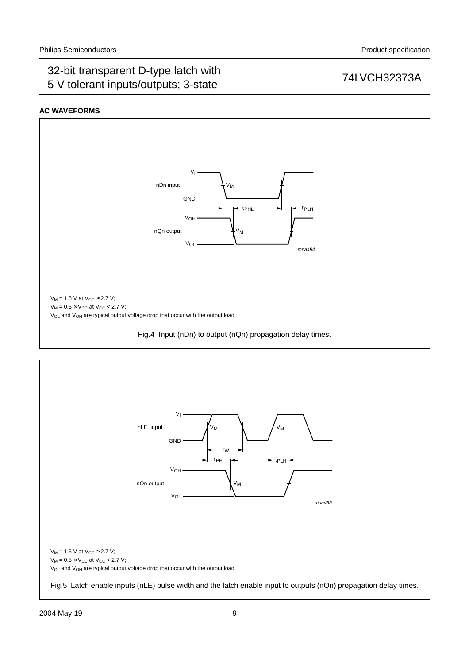## **AC WAVEFORMS**



<span id="page-8-1"></span><span id="page-8-0"></span>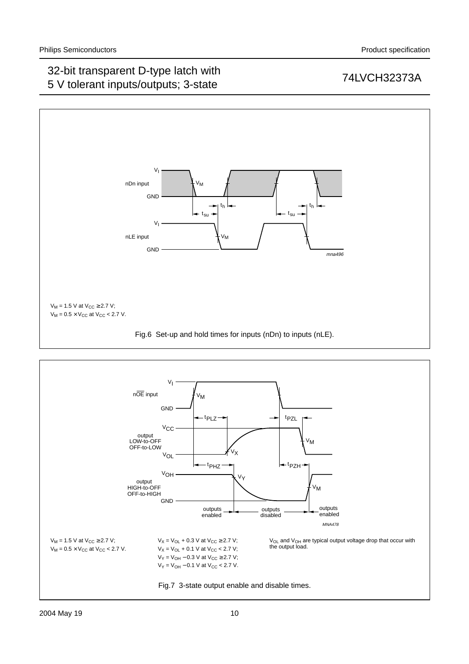

<span id="page-9-1"></span><span id="page-9-0"></span>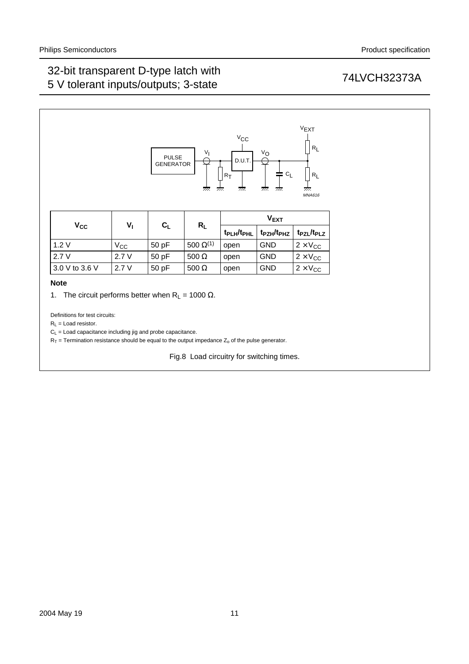

|                | V,           | $R_{L}$ |                    | $V_{EXT}$                          |                   |                                    |  |
|----------------|--------------|---------|--------------------|------------------------------------|-------------------|------------------------------------|--|
| $V_{CC}$       |              | $C_L$   |                    | t <sub>PLH</sub> /t <sub>PHL</sub> | $t_{PZH}/t_{PHZ}$ | t <sub>PZL</sub> /t <sub>PLZ</sub> |  |
| 1.2V           | $V_{\rm CC}$ | 50pF    | 500 $\Omega^{(1)}$ | open                               | <b>GND</b>        | $2 \times V_{CC}$                  |  |
| 2.7V           | 2.7V         | 50pF    | 500 $\Omega$       | open                               | <b>GND</b>        | $2 \times V_{CC}$                  |  |
| 3.0 V to 3.6 V | 2.7V         | 50pF    | 500 $\Omega$       | open                               | <b>GND</b>        | $2 \times V_{CC}$                  |  |

### **Note**

<span id="page-10-1"></span>1. The circuit performs better when  $R_L = 1000 \Omega$ .

Definitions for test circuits:

 $R_L$  = Load resistor.

 $C_L$  = Load capacitance including jig and probe capacitance.

<span id="page-10-0"></span> $R_T$  = Termination resistance should be equal to the output impedance  $Z_0$  of the pulse generator.

Fig.8 Load circuitry for switching times.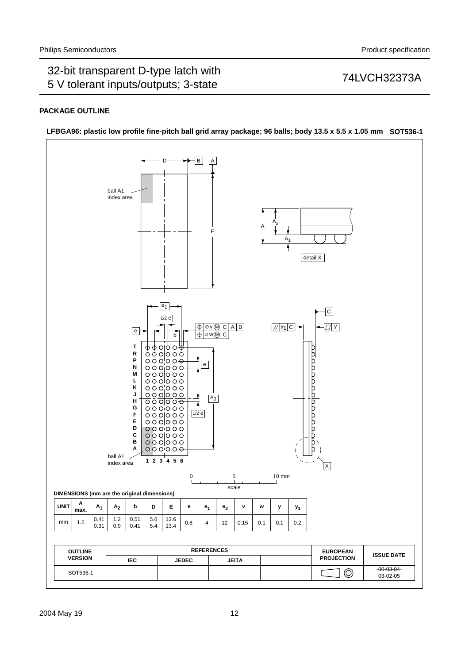## **PACKAGE OUTLINE**



**LFBGA96: plastic low profile fine-pitch ball grid array package; 96 balls; body 13.5 x 5.5 x 1.05 mm SOT536-1**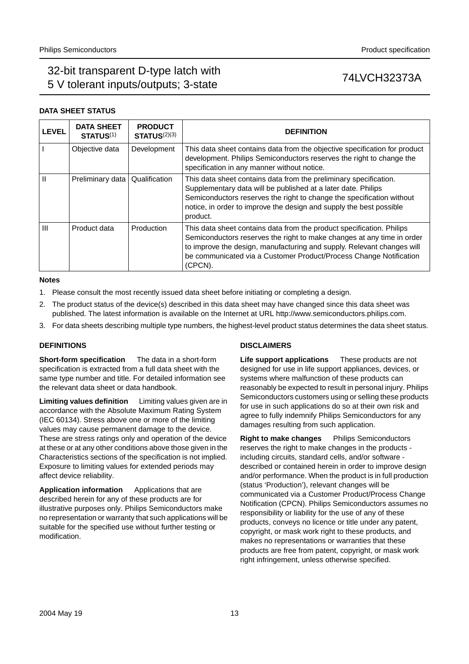## **DATA SHEET STATUS**

| <b>LEVEL</b> | <b>DATA SHEET</b><br>STATUS <sup>(1)</sup> | <b>PRODUCT</b><br><b>STATUS(2)(3)</b> | <b>DEFINITION</b>                                                                                                                                                                                                                                                                                          |
|--------------|--------------------------------------------|---------------------------------------|------------------------------------------------------------------------------------------------------------------------------------------------------------------------------------------------------------------------------------------------------------------------------------------------------------|
|              | Objective data                             | Development                           | This data sheet contains data from the objective specification for product<br>development. Philips Semiconductors reserves the right to change the<br>specification in any manner without notice.                                                                                                          |
| Ш            | Preliminary data                           | Qualification                         | This data sheet contains data from the preliminary specification.<br>Supplementary data will be published at a later date. Philips<br>Semiconductors reserves the right to change the specification without<br>notice, in order to improve the design and supply the best possible<br>product.             |
| Ш            | Product data                               | Production                            | This data sheet contains data from the product specification. Philips<br>Semiconductors reserves the right to make changes at any time in order<br>to improve the design, manufacturing and supply. Relevant changes will<br>be communicated via a Customer Product/Process Change Notification<br>(CPCN). |

### **Notes**

- <span id="page-12-0"></span>1. Please consult the most recently issued data sheet before initiating or completing a design.
- <span id="page-12-1"></span>2. The product status of the device(s) described in this data sheet may have changed since this data sheet was published. The latest information is available on the Internet at URL http://www.semiconductors.philips.com.
- <span id="page-12-2"></span>3. For data sheets describing multiple type numbers, the highest-level product status determines the data sheet status.

## **DEFINITIONS**

**Short-form specification** — The data in a short-form specification is extracted from a full data sheet with the same type number and title. For detailed information see the relevant data sheet or data handbook.

**Limiting values definition** - Limiting values given are in accordance with the Absolute Maximum Rating System (IEC 60134). Stress above one or more of the limiting values may cause permanent damage to the device. These are stress ratings only and operation of the device at these or at any other conditions above those given in the Characteristics sections of the specification is not implied. Exposure to limiting values for extended periods may affect device reliability.

Application information Applications that are described herein for any of these products are for illustrative purposes only. Philips Semiconductors make no representation or warranty that such applications will be suitable for the specified use without further testing or modification.

## **DISCLAIMERS**

**Life support applications** - These products are not designed for use in life support appliances, devices, or systems where malfunction of these products can reasonably be expected to result in personal injury. Philips Semiconductors customers using or selling these products for use in such applications do so at their own risk and agree to fully indemnify Philips Semiconductors for any damages resulting from such application.

**Right to make changes** - Philips Semiconductors reserves the right to make changes in the products including circuits, standard cells, and/or software described or contained herein in order to improve design and/or performance. When the product is in full production (status 'Production'), relevant changes will be communicated via a Customer Product/Process Change Notification (CPCN). Philips Semiconductors assumes no responsibility or liability for the use of any of these products, conveys no licence or title under any patent, copyright, or mask work right to these products, and makes no representations or warranties that these products are free from patent, copyright, or mask work right infringement, unless otherwise specified.